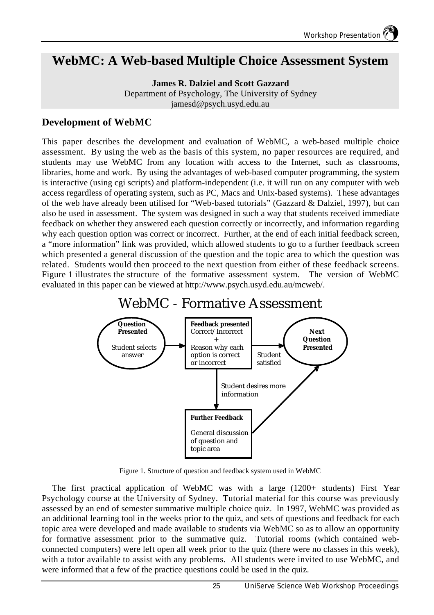## **WebMC: A Web-based Multiple Choice Assessment System**

**James R. Dalziel and Scott Gazzard** Department of Psychology, The University of Sydney jamesd@psych.usyd.edu.au

#### **Development of WebMC**

This paper describes the development and evaluation of WebMC, a web-based multiple choice assessment. By using the web as the basis of this system, no paper resources are required, and students may use WebMC from any location with access to the Internet, such as classrooms, libraries, home and work. By using the advantages of web-based computer programming, the system is interactive (using cgi scripts) and platform-independent (i.e. it will run on any computer with web access regardless of operating system, such as PC, Macs and Unix-based systems). These advantages of the web have already been utilised for "Web-based tutorials" (Gazzard & Dalziel, 1997), but can also be used in assessment. The system was designed in such a way that students received immediate feedback on whether they answered each question correctly or incorrectly, and information regarding why each question option was correct or incorrect. Further, at the end of each initial feedback screen, a "more information" link was provided, which allowed students to go to a further feedback screen which presented a general discussion of the question and the topic area to which the question was related. Students would then proceed to the next question from either of these feedback screens. Figure 1 illustrates the structure of the formative assessment system. The version of WebMC evaluated in this paper can be viewed at http://www.psych.usyd.edu.au/mcweb/.

# WebMC - Formative Assessment



Figure 1. Structure of question and feedback system used in WebMC

The first practical application of WebMC was with a large (1200+ students) First Year Psychology course at the University of Sydney. Tutorial material for this course was previously assessed by an end of semester summative multiple choice quiz. In 1997, WebMC was provided as an additional learning tool in the weeks prior to the quiz, and sets of questions and feedback for each topic area were developed and made available to students via WebMC so as to allow an opportunity for formative assessment prior to the summative quiz. Tutorial rooms (which contained webconnected computers) were left open all week prior to the quiz (there were no classes in this week), with a tutor available to assist with any problems. All students were invited to use WebMC, and were informed that a few of the practice questions could be used in the quiz.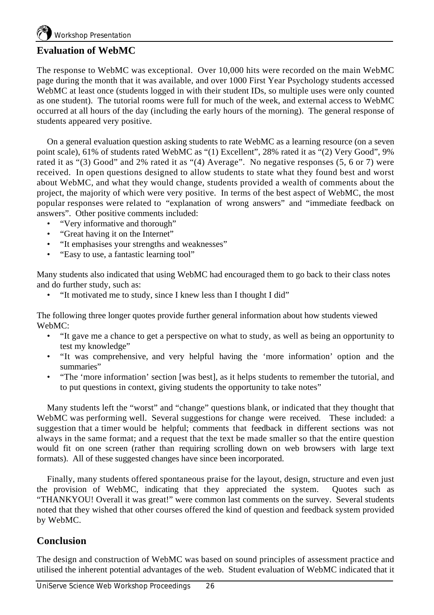#### **Evaluation of WebMC**

The response to WebMC was exceptional. Over 10,000 hits were recorded on the main WebMC page during the month that it was available, and over 1000 First Year Psychology students accessed WebMC at least once (students logged in with their student IDs, so multiple uses were only counted as one student). The tutorial rooms were full for much of the week, and external access to WebMC occurred at all hours of the day (including the early hours of the morning). The general response of students appeared very positive.

On a general evaluation question asking students to rate WebMC as a learning resource (on a seven point scale), 61% of students rated WebMC as "(1) Excellent", 28% rated it as "(2) Very Good", 9% rated it as "(3) Good" and 2% rated it as "(4) Average". No negative responses (5, 6 or 7) were received. In open questions designed to allow students to state what they found best and worst about WebMC, and what they would change, students provided a wealth of comments about the project, the majority of which were very positive. In terms of the best aspect of WebMC, the most popular responses were related to "explanation of wrong answers" and "immediate feedback on answers". Other positive comments included:

- "Very informative and thorough"
- "Great having it on the Internet"
- "It emphasises your strengths and weaknesses"
- "Easy to use, a fantastic learning tool"

Many students also indicated that using WebMC had encouraged them to go back to their class notes and do further study, such as:

• "It motivated me to study, since I knew less than I thought I did"

The following three longer quotes provide further general information about how students viewed WebMC:

- "It gave me a chance to get a perspective on what to study, as well as being an opportunity to test my knowledge"
- "It was comprehensive, and very helpful having the 'more information' option and the summaries"
- "The 'more information' section [was best], as it helps students to remember the tutorial, and to put questions in context, giving students the opportunity to take notes"

Many students left the "worst" and "change" questions blank, or indicated that they thought that WebMC was performing well. Several suggestions for change were received. These included: a suggestion that a timer would be helpful; comments that feedback in different sections was not always in the same format; and a request that the text be made smaller so that the entire question would fit on one screen (rather than requiring scrolling down on web browsers with large text formats). All of these suggested changes have since been incorporated.

Finally, many students offered spontaneous praise for the layout, design, structure and even just the provision of WebMC, indicating that they appreciated the system. Quotes such as "THANKYOU! Overall it was great!" were common last comments on the survey. Several students noted that they wished that other courses offered the kind of question and feedback system provided by WebMC.

#### **Conclusion**

The design and construction of WebMC was based on sound principles of assessment practice and utilised the inherent potential advantages of the web. Student evaluation of WebMC indicated that it